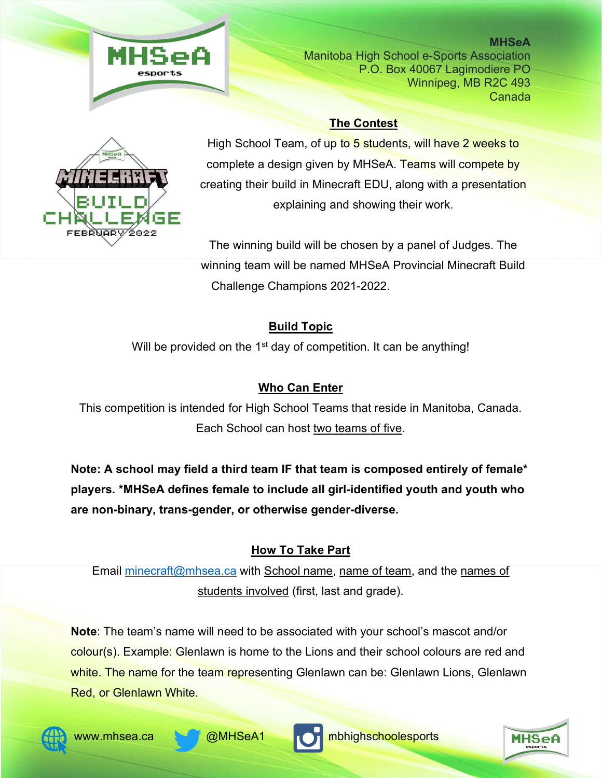

**MHSeA** Manitoba High School e-Sports Association P.O. Box 40067 Lagimodiere PO Winnipeg, MB R2C 493 Canada

#### The Contest



High School Team, of up to 5 students, will have 2 weeks to complete a design given by MHSeA. Teams will compete by creating their build in Minecraft EDU, along with a presentation explaining and showing their work.

The winning build will be chosen by a panel of Judges. The winning team will be named MHSeA Provincial Minecraft Build Challenge Champions 2021-2022.

## Build Topic

Will be provided on the 1<sup>st</sup> day of competition. It can be anything!

# Who Can Enter

This competition is intended for High School Teams that reside in Manitoba, Canada. Each School can host two teams of five.

Note: A school may field a third team IF that team is composed entirely of female\* players. \*MHSeA defines female to include all girl-identified youth and youth who are non-binary, trans-gender, or otherwise gender-diverse.

# How To Take Part

Email minecraft@mhsea.ca with School name, name of team, and the names of students involved (first, last and grade).

Note: The team's name will need to be associated with your school's mascot and/or colour(s). Example: Glenlawn is home to the Lions and their school colours are red and white. The name for the team representing Glenlawn can be: Glenlawn Lions, Glenlawn Red, or Glenlawn White.





www.mhsea.ca @MHSeA1 mbhighschoolesports